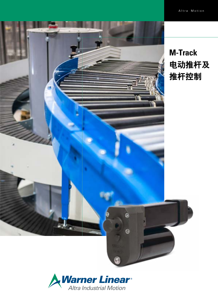



# **M-Track**  电动推杆及 推杆控制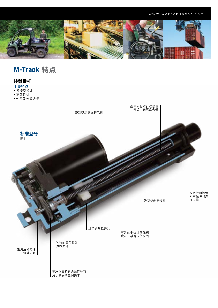

M-Track 特点

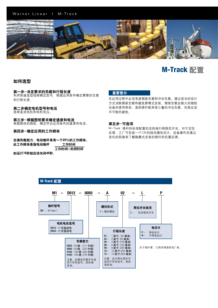## Warner Linear | M-Track



## M-Track 配置

## 如何选型

## 第一步-决定要求的负载和行程长度

利用快速选型指南确定型号,根据应用条件确定需要的负载 和行程长度。

### 第二步确定电机型号和电压

选择直流电机和电机电压。

### 第三步-根据图纸要求确定速度和电流

根据提供的图纸,确定符合应用条件的速度和电流。

第四步-确定应用的工作频率

在满负载能力,电动推杆具有一个25%的工作频率。 此工作频率是指电动推杆 工作时间 工作时间+关闭时间

如运行15秒就应该关闭45秒.

## 重要警示

在应用过程中必须考虑侧面负载和冲击负载。通过适当的设计 方式消除侧面负载和避免悬臂式安装。侧面负载会极大的缩短 设备的使用寿命。虽然推杆能承受小量的冲击负载,但是应该 尽可能的避免。

### 第五步-可选项

M-Track 推杆的标准配置包含终端行程限位开关。对于定位 反馈,工厂可安装一个12K的线性膜电位计。设备操作员通过 变化的阻值来了解隐藏式安装的推杆的位置反馈。

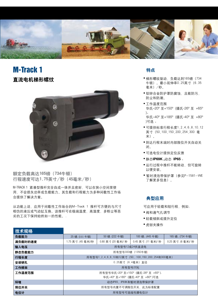

## M-Track 1 直流电机梯形螺纹

技术规格



额定负载高达165磅(734牛顿) 行程速度可达1.75英寸/秒(45毫米/秒)

M-TRACK 1 紧凑型推杆完全自成一体并且密封,可以在狭小空间里使 用,不会损失功率或负载能力。其负载和行程能力为多种间歇性工作场 合提供了解决方案。

从功能上说,应用于间歇性工作场合的M-Track 1 推杆可方便的与尺寸 相仿的液压或气动缸互换。该推杆可在极端温度,高湿度,多粉尘等恶 劣的工况下保持始终如一的性能。.

## 特点

- 梯形螺纹驱动,负载达到165磅(734 牛顿)。最小延伸率0.25英寸(6.35 毫米)/秒。
- 铝锌合金防护罩防腐蚀,且能防污, 防尘和防潮。
- 工作温度范围 华氏–20º 至+150º (摄氏-26º 至 +65º )。 华氏–40º 至+185º (摄氏-40º 至 +80º )可选 。
- 可提供标准行程长度1,2,4,6,8,10,12 英寸(50,100,150,200,254,300 毫 米)。
- 到达行程末端时内部限位开关自动关 闭。
- 可选电位计提供定位反馈
- 静态**IP69K ,**动态 **IP65** 。
- 运行过程中推杆不能转动,但可旋转 以便安装。
- 暂时浸泡带保护罩(参见P-1581-WE 了解更多信息)。

## 典型应用

可应用于轻载和短行程,例如:

- 阀和通气孔调节
- 轻载倾斜或提升定位
- 虎钳夹操作

| 负载能力    | 25 磅. (111 牛顿)                                   | 50 磅. (222 牛顿)     | 100 磅 (445 牛顿)      | 165 磅 (734 牛顿)     |  |  |  |  |  |  |
|---------|--------------------------------------------------|--------------------|---------------------|--------------------|--|--|--|--|--|--|
| 满负载时的速度 | 1.75 英寸. (45 毫米)/秒                               | 0.80 英寸 (20 毫米)/ 秒 | 0.45 英寸. (11 毫米)/ 秒 | 0.25 英寸. (6 毫米)/ 秒 |  |  |  |  |  |  |
| 输入电压    | 所有型号12或24伏直流电                                    |                    |                     |                    |  |  |  |  |  |  |
| 静态负载能力  | 所有型号300磅(1350牛顿)                                 |                    |                     |                    |  |  |  |  |  |  |
| 行程长度    | 所有型号1,2,4,6,8,10和12英寸(50, 100,150,200,254和300毫米) |                    |                     |                    |  |  |  |  |  |  |
| 安装销孔    | 0.25英寸(6.4毫米)直径                                  |                    |                     |                    |  |  |  |  |  |  |
| 工作频率    | 所有型号25%                                          |                    |                     |                    |  |  |  |  |  |  |
| 工作温度范围  | 所有型号华氏−20° 至+150° (摄氏−26° 至 +65°).               |                    |                     |                    |  |  |  |  |  |  |
|         | 华氏-40° 至+185° (摄氏-40° 至 +80°)可选                  |                    |                     |                    |  |  |  |  |  |  |
| 环境      | 动态IP65,IP69K和暂时浸泡带保护罩                            |                    |                     |                    |  |  |  |  |  |  |
| 限位开关    | 所有型号内置不可调限位开关,此为标准配置                             |                    |                     |                    |  |  |  |  |  |  |
| 电位计     | 所有型号可选线性膜电位计                                     |                    |                     |                    |  |  |  |  |  |  |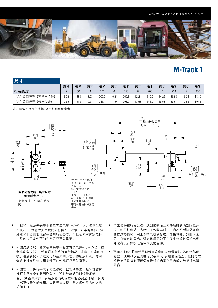

## M-Track 1

| 尺寸                     |      |       |      |       |       |       |       |       |       |       |       |       |
|------------------------|------|-------|------|-------|-------|-------|-------|-------|-------|-------|-------|-------|
|                        | 英寸   | 毫米    | 英寸   | 毫米    | 英寸    | 毫米    | 英寸    | 毫米    | 英寸    | 毫米    | 英寸    | 毫米    |
| 行程长度                   |      | 50    | 4    | 100   | 6     | 150   |       | 200   | 10    | 254   | 12    | 300   |
| "A"<br>(不带电位计)<br>缩回行程 | 6.22 | 158.0 | 8.23 | 209.0 | 10.24 | 260.  | 12.24 | 310.9 | 14.25 | 362.0 | 16.26 | 413.0 |
| "A"<br>(带电位计)<br>缩回行程  | 7.55 | 191.8 | 9.57 | 243.  | 11.57 | 293.9 | 13.58 | 344.9 | 15.58 | 395.  | 17.58 | 446.5 |

注: 特殊长度可供选择;公制行程仅供参考



- 行程和行程公差是基于额定直流电压 +/-0.5伏, 控制温度 华氏70°.没有附加负载的运行情况。注意: 正常的磨损, 温 度变化和负载变化都会影响行程公差。行程公差对选定推杆 在具体应用条件下的性能好坏至关重要。
- 伸缩点到点尺寸和其公差是基于额定直流电压+ /-.5伏, 控 制温度华氏70°.没有附加负载的运行情况。注意: 正常的磨 损,温度变化和负载变化都会影响公差。伸缩点到点尺寸对 选定推杆在具体应用条件下的性能好坏至关重要。
- 伸缩管可以进行一次全方位旋转, 以帮助安装。顺时针旋转 推杆直至完全安装到设备上。逆时针旋转的时候最多转一 圈,与U型夹对齐。安装点必须确保推杆能够完全伸缩,以便 内部限位开关能作用。如果无法实现,则必须使用另外方法 关闭推杆。
- 如果推杆在行程过程中遇到障碍而且无法触碰到内部限位开 关,则推杆停转。当超过工作频率时,一内部热断路器在停 转或过热情况下用来保护电机免受损。如果倾翻,短时<mark>间</mark>之 后,它会自动重启。额定热量是为了在发生停转时保护电机 SCALE 1:2 <sup>4</sup> <sup>3</sup> <sup>2</sup> <sup>1</sup> <sup>5</sup> 并没有设计保护电路中的其他备件。
	- Warner Linear 推荐使用12伏直流电时安装最大6安培的外部保 险丝,使用24伏直流电时安装最大3安培的保险丝。任何与推 杆连接的设备必须确保在推杆的功率范围内或者与推杆电路 分离。